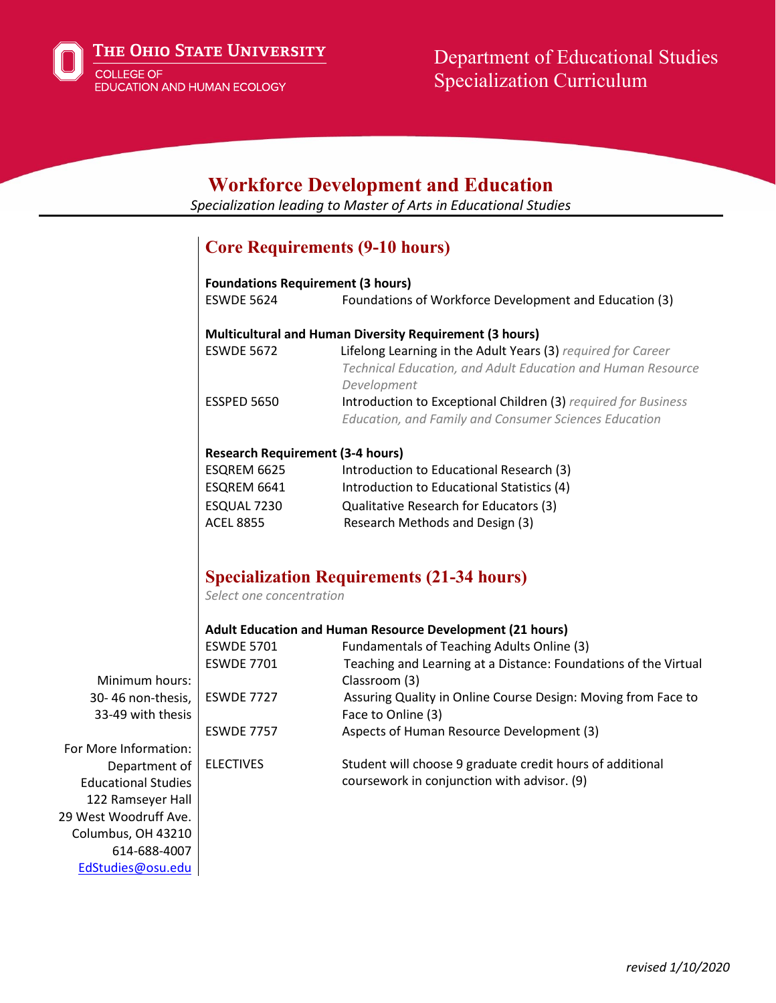

## **Workforce Development and Education**

*Specialization leading to Master of Arts in Educational Studies*

# **Core Requirements (9-10 hours)**

|                            | <b>Foundations Requirement (3 hours)</b> |                                                                                                                                            |
|----------------------------|------------------------------------------|--------------------------------------------------------------------------------------------------------------------------------------------|
|                            | <b>ESWDE 5624</b>                        | Foundations of Workforce Development and Education (3)                                                                                     |
|                            |                                          | <b>Multicultural and Human Diversity Requirement (3 hours)</b>                                                                             |
|                            | <b>ESWDE 5672</b>                        | Lifelong Learning in the Adult Years (3) required for Career<br>Technical Education, and Adult Education and Human Resource<br>Development |
|                            | <b>ESSPED 5650</b>                       | Introduction to Exceptional Children (3) required for Business<br><b>Education, and Family and Consumer Sciences Education</b>             |
|                            | <b>Research Requirement (3-4 hours)</b>  |                                                                                                                                            |
|                            | ESQREM 6625                              | Introduction to Educational Research (3)                                                                                                   |
|                            | ESQREM 6641                              | Introduction to Educational Statistics (4)                                                                                                 |
|                            | ESQUAL 7230                              | Qualitative Research for Educators (3)                                                                                                     |
|                            | <b>ACEL 8855</b>                         | Research Methods and Design (3)                                                                                                            |
|                            | Select one concentration                 | <b>Specialization Requirements (21-34 hours)</b>                                                                                           |
|                            |                                          | Adult Education and Human Resource Development (21 hours)                                                                                  |
|                            | <b>ESWDE 5701</b>                        | Fundamentals of Teaching Adults Online (3)                                                                                                 |
|                            | <b>ESWDE 7701</b>                        | Teaching and Learning at a Distance: Foundations of the Virtual                                                                            |
| Minimum hours:             |                                          | Classroom (3)                                                                                                                              |
| 30-46 non-thesis,          | <b>ESWDE 7727</b>                        | Assuring Quality in Online Course Design: Moving from Face to                                                                              |
| 33-49 with thesis          |                                          | Face to Online (3)                                                                                                                         |
|                            | <b>ESWDE 7757</b>                        | Aspects of Human Resource Development (3)                                                                                                  |
| For More Information:      |                                          |                                                                                                                                            |
| Department of              | <b>ELECTIVES</b>                         | Student will choose 9 graduate credit hours of additional                                                                                  |
| <b>Educational Studies</b> |                                          | coursework in conjunction with advisor. (9)                                                                                                |
| 122 Ramseyer Hall          |                                          |                                                                                                                                            |
| 29 West Woodruff Ave.      |                                          |                                                                                                                                            |
| Columbus, OH 43210         |                                          |                                                                                                                                            |
| 614-688-4007               |                                          |                                                                                                                                            |
| EdStudies@osu.edu          |                                          |                                                                                                                                            |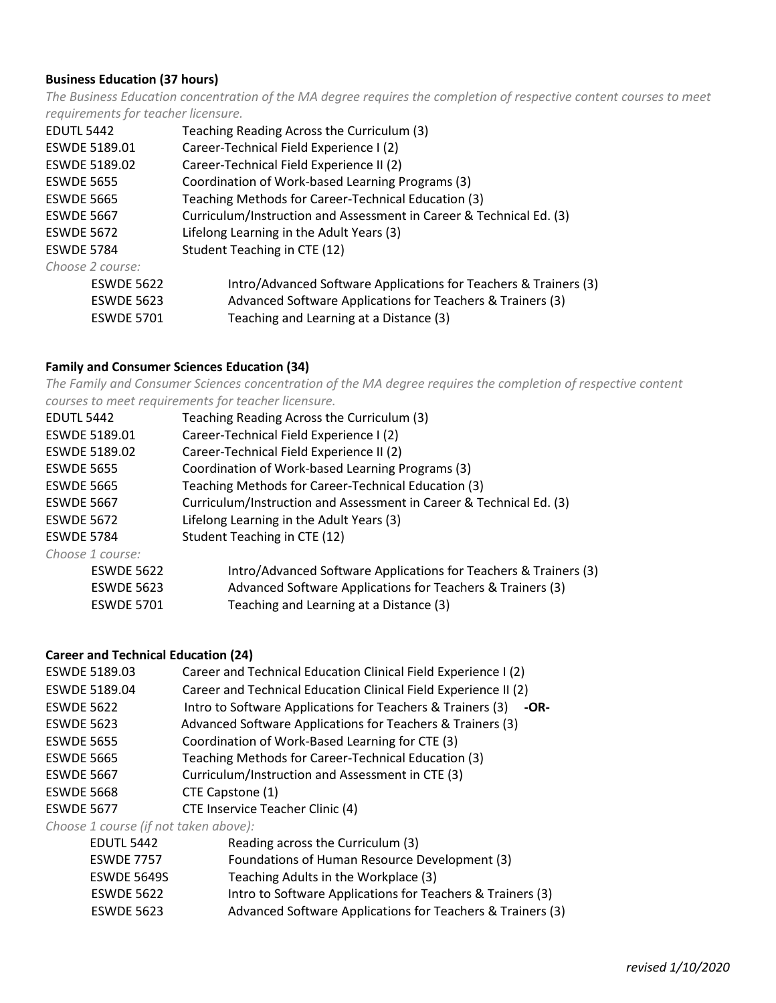#### **Business Education (37 hours)**

*The Business Education concentration of the MA degree requires the completion of respective content courses to meet requirements for teacher licensure.*

| <b>EDUTL 5442</b> | Teaching Reading Across the Curriculum (3)                          |
|-------------------|---------------------------------------------------------------------|
| ESWDE 5189.01     | Career-Technical Field Experience I (2)                             |
| ESWDE 5189.02     | Career-Technical Field Experience II (2)                            |
| <b>ESWDE 5655</b> | Coordination of Work-based Learning Programs (3)                    |
| <b>ESWDE 5665</b> | Teaching Methods for Career-Technical Education (3)                 |
| <b>ESWDE 5667</b> | Curriculum/Instruction and Assessment in Career & Technical Ed. (3) |
| <b>ESWDE 5672</b> | Lifelong Learning in the Adult Years (3)                            |
| <b>ESWDE 5784</b> | Student Teaching in CTE (12)                                        |
| Choose 2 course:  |                                                                     |
| <b>ESWDE 5622</b> | Intro/Advanced Software Applications for Teachers & Trainers (3)    |
| <b>ESWDE 5623</b> | Advanced Software Applications for Teachers & Trainers (3)          |
| <b>ESWDE 5701</b> | Teaching and Learning at a Distance (3)                             |
|                   |                                                                     |

#### **Family and Consumer Sciences Education (34)**

*The Family and Consumer Sciences concentration of the MA degree requires the completion of respective content courses to meet requirements for teacher licensure.*

| <b>EDUTL 5442</b> | Teaching Reading Across the Curriculum (3)                          |
|-------------------|---------------------------------------------------------------------|
| ESWDE 5189.01     | Career-Technical Field Experience I (2)                             |
| ESWDE 5189.02     | Career-Technical Field Experience II (2)                            |
| <b>ESWDE 5655</b> | Coordination of Work-based Learning Programs (3)                    |
| <b>ESWDE 5665</b> | Teaching Methods for Career-Technical Education (3)                 |
| <b>ESWDE 5667</b> | Curriculum/Instruction and Assessment in Career & Technical Ed. (3) |
| <b>ESWDE 5672</b> | Lifelong Learning in the Adult Years (3)                            |
| <b>ESWDE 5784</b> | Student Teaching in CTE (12)                                        |
| Choose 1 course:  |                                                                     |
| <b>ESWDE 5622</b> | Intro/Advanced Software Applications for Teachers & Trainers (3)    |
| <b>ESWDE 5623</b> | Advanced Software Applications for Teachers & Trainers (3)          |
| <b>ESWDE 5701</b> | Teaching and Learning at a Distance (3)                             |
|                   |                                                                     |

#### **Career and Technical Education (24)**

| ESWDE 5189.03     | Career and Technical Education Clinical Field Experience I (2)     |
|-------------------|--------------------------------------------------------------------|
| ESWDE 5189.04     | Career and Technical Education Clinical Field Experience II (2)    |
| <b>ESWDE 5622</b> | Intro to Software Applications for Teachers & Trainers (3)<br>-OR- |
| <b>ESWDE 5623</b> | Advanced Software Applications for Teachers & Trainers (3)         |
| <b>ESWDE 5655</b> | Coordination of Work-Based Learning for CTE (3)                    |
| <b>ESWDE 5665</b> | Teaching Methods for Career-Technical Education (3)                |
| <b>ESWDE 5667</b> | Curriculum/Instruction and Assessment in CTE (3)                   |
| <b>ESWDE 5668</b> | CTE Capstone (1)                                                   |
| <b>ESWDE 5677</b> | CTE Inservice Teacher Clinic (4)                                   |

*Choose 1 course (if not taken above):*

| CHOOSE I COUISE III HOL LUNCH UDOVE). |                                                            |
|---------------------------------------|------------------------------------------------------------|
| <b>EDUTL 5442</b>                     | Reading across the Curriculum (3)                          |
| <b>ESWDE 7757</b>                     | Foundations of Human Resource Development (3)              |
| <b>ESWDE 5649S</b>                    | Teaching Adults in the Workplace (3)                       |
| <b>ESWDE 5622</b>                     | Intro to Software Applications for Teachers & Trainers (3) |
| <b>ESWDE 5623</b>                     | Advanced Software Applications for Teachers & Trainers (3) |
|                                       |                                                            |